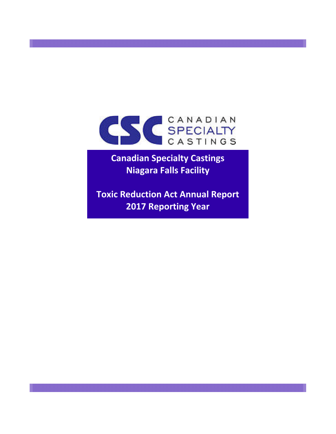

**Canadian Specialty Castings Niagara Falls Facility**

**Toxic Reduction Act Annual Report 2017 Reporting Year**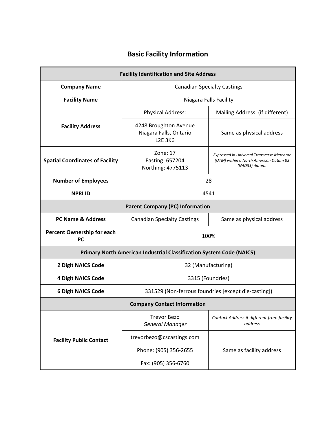## **Basic Facility Information**

| <b>Facility Identification and Site Address</b> |                                                                             |                                                                                                               |  |  |  |  |  |  |  |  |  |  |
|-------------------------------------------------|-----------------------------------------------------------------------------|---------------------------------------------------------------------------------------------------------------|--|--|--|--|--|--|--|--|--|--|
| <b>Company Name</b>                             |                                                                             | <b>Canadian Specialty Castings</b>                                                                            |  |  |  |  |  |  |  |  |  |  |
| <b>Facility Name</b>                            |                                                                             | Niagara Falls Facility                                                                                        |  |  |  |  |  |  |  |  |  |  |
|                                                 | <b>Physical Address:</b>                                                    | Mailing Address: (if different)                                                                               |  |  |  |  |  |  |  |  |  |  |
| <b>Facility Address</b>                         | 4248 Broughton Avenue<br>Niagara Falls, Ontario<br><b>L2F 3K6</b>           | Same as physical address                                                                                      |  |  |  |  |  |  |  |  |  |  |
| <b>Spatial Coordinates of Facility</b>          | Zone: 17<br>Easting: 657204<br>Northing: 4775113                            | <b>Expressed in Universal Transverse Mercator</b><br>(UTM) within a North American Datum 83<br>(NAD83) datum. |  |  |  |  |  |  |  |  |  |  |
| <b>Number of Employees</b>                      | 28                                                                          |                                                                                                               |  |  |  |  |  |  |  |  |  |  |
| <b>NPRI ID</b>                                  | 4541                                                                        |                                                                                                               |  |  |  |  |  |  |  |  |  |  |
|                                                 | <b>Parent Company (PC) Information</b>                                      |                                                                                                               |  |  |  |  |  |  |  |  |  |  |
| <b>PC Name &amp; Address</b>                    | <b>Canadian Specialty Castings</b>                                          | Same as physical address                                                                                      |  |  |  |  |  |  |  |  |  |  |
| Percent Ownership for each<br><b>PC</b>         | 100%                                                                        |                                                                                                               |  |  |  |  |  |  |  |  |  |  |
|                                                 | <b>Primary North American Industrial Classification System Code (NAICS)</b> |                                                                                                               |  |  |  |  |  |  |  |  |  |  |
| 2 Digit NAICS Code                              | 32 (Manufacturing)                                                          |                                                                                                               |  |  |  |  |  |  |  |  |  |  |
| <b>4 Digit NAICS Code</b>                       | 3315 (Foundries)                                                            |                                                                                                               |  |  |  |  |  |  |  |  |  |  |
| <b>6 Digit NAICS Code</b>                       | 331529 (Non-ferrous foundries [except die-casting])                         |                                                                                                               |  |  |  |  |  |  |  |  |  |  |
|                                                 | <b>Company Contact Information</b>                                          |                                                                                                               |  |  |  |  |  |  |  |  |  |  |
|                                                 | <b>Trevor Bezo</b><br><b>General Manager</b>                                | Contact Address if different from facility<br>address                                                         |  |  |  |  |  |  |  |  |  |  |
| <b>Facility Public Contact</b>                  | trevorbezo@cscastings.com                                                   |                                                                                                               |  |  |  |  |  |  |  |  |  |  |
|                                                 | Phone: (905) 356-2655                                                       | Same as facility address                                                                                      |  |  |  |  |  |  |  |  |  |  |
|                                                 | Fax: (905) 356-6760                                                         |                                                                                                               |  |  |  |  |  |  |  |  |  |  |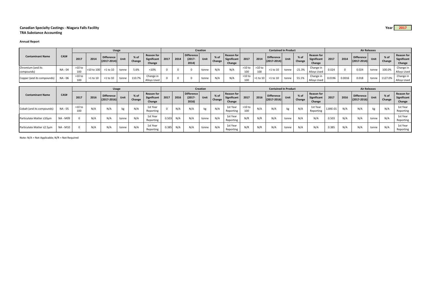## **Canadian Specialty Castings ‐ Niagara Falls Facility Year 2017 TRA Substance Accounting**

## **Annual Report**

|                                 |         | <b>Usage</b>    |            |                                      |       |                  |                                            | <b>Creation</b> |      |                                  |       |                  |                                            |                 |               | <b>Contained In Product</b>          |       |                |                                            | <b>Air Releases</b> |        |                                      |       |                |                                            |
|---------------------------------|---------|-----------------|------------|--------------------------------------|-------|------------------|--------------------------------------------|-----------------|------|----------------------------------|-------|------------------|--------------------------------------------|-----------------|---------------|--------------------------------------|-------|----------------|--------------------------------------------|---------------------|--------|--------------------------------------|-------|----------------|--------------------------------------------|
| <b>Contaminant Name</b>         | CAS#    | 2017            | 2014       | <b>Difference</b><br>$(2017 - 2014)$ | Unit  | $%$ of<br>Change | Reason for<br><b>Significant</b><br>Change | 2017            | 2014 | Difference<br>$(2017 -$<br>2014) | Unit  | $%$ of<br>Change | Reason for<br><b>Significant</b><br>Change | 2017            | 2014          | <b>Difference</b><br>$(2017 - 2014)$ | Unit  | % of<br>Change | Reason for<br><b>Significant</b><br>Change | 2017                | 2014   | <b>Difference</b><br>$(2017 - 2014)$ | Unit  | % of<br>Change | <b>Reason for</b><br>Significant<br>Change |
| Chromium (and its<br>compounds) | NA - 04 | $>10$ to<br>100 | ∙10 to 100 | >1 to 10                             | tonne | 5.6%             | < 10%                                      |                 |      |                                  | tonne | N/A              | N/A                                        | $>10$ to<br>100 | >10 to<br>100 | >1 to 10                             | tonne | $-21.3%$       | Change in<br><b>Alloys Used</b>            | 0.024               |        | 0.024                                | tonne | 100.0%         | Change in<br>Alloys Used                   |
| Copper (and its compounds)      | NA - 06 | $>10$ to<br>100 | >1 to 10   | >1 to 10                             | tonne | 110.7%           | Change in<br>Alloys Used                   |                 |      |                                  | tonne | N/A              | N/A                                        | $>10$ to        | $>1$ to 10    | >1 to 10                             | tonne | 55.1%          | Change in<br>Alloys Used                   | 0.0196              | 0.0016 | 0.018                                | tonne | 1127.0%        | Change in<br>Alloys Used                   |

|                            |                 | <b>Usage</b>    |      |                                      |       |                |                                            |       | <b>Creation</b> |                                  |       |                  |                                            |                 |      | <b>Contained In Product</b>          |       |                  |                                            | <b>Air Releases</b> |      |                                      |       |                |                                            |  |
|----------------------------|-----------------|-----------------|------|--------------------------------------|-------|----------------|--------------------------------------------|-------|-----------------|----------------------------------|-------|------------------|--------------------------------------------|-----------------|------|--------------------------------------|-------|------------------|--------------------------------------------|---------------------|------|--------------------------------------|-------|----------------|--------------------------------------------|--|
| <b>Contaminant Name</b>    | CAS#            | 2017            | 2016 | <b>Difference</b><br>$(2017 - 2016)$ | Unit  | % of<br>Change | <b>Reason for</b><br>Significant<br>Change | 2017  | 2016            | Difference<br>$(2017 -$<br>2016) | Unit  | $%$ of<br>Change | <b>Reason for</b><br>Significant<br>Change | 2017            | 2016 | <b>Difference</b><br>$(2017 - 2016)$ | Unit  | $%$ of<br>Change | <b>Reason for</b><br>Significant<br>Change | 2017                | 2016 | <b>Difference</b><br>$(2017 - 2016)$ | Unit  | % of<br>Change | <b>Reason for</b><br>Significant<br>Change |  |
| Cobalt (and its compounds) | NA - 05         | $>10$ to<br>100 | N/A  | N/A                                  | kg    | N/A            | 1st Year<br>Reporting                      |       | N/A             | N/A                              | kg    | N/A              | 1st Year<br>Reporting                      | $>10$ to<br>100 | N/A  | N/A                                  | kg    | N/A              | 1st Year<br>Reporting                      | 1.84E-01            | N/A  | N/A                                  | K9    | N/A            | 1st Year<br>Reporting                      |  |
| Particulate Matter ≤10µm   | <b>NA - M09</b> |                 | N/A  | N/A                                  | tonne | N/A            | 1st Year<br>Reporting                      | 0.503 | N/A             | N/A                              | tonne | N/A              | 1st Year<br>Reporting                      | N/R             | N/R  | N/A                                  | tonne | N/A              | N/A                                        | 0.503               | N/A  | N/A                                  | tonne | N/A            | 1st Year<br>Reporting                      |  |
| Particulate Matter ≤2.5µm  | NA - M10        |                 | N/A  | N/A                                  | tonne | N/A            | 1st Year<br>Reporting                      | 0.385 | N/A             | N/A                              | tonne | N/A              | 1st Year<br>Reporting                      | N/R             | N/R  | N/A                                  | tonne | N/A              | N/A                                        | 0.385               | N/A  | N/A                                  | tonne | N/A            | 1st Year<br>Reporting                      |  |

Note: N/A <sup>=</sup> Not Applicable; N/R <sup>=</sup> Not Required